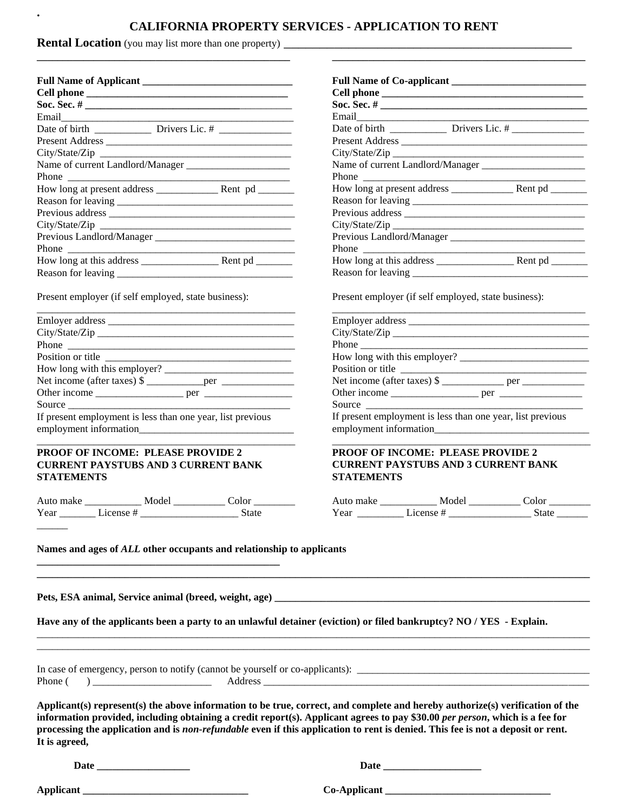### **CALIFORNIA PROPERTY SERVICES - APPLICATION TO RENT**

**Rental Location** (you may list more than one property) \_ **\_\_\_\_\_\_\_\_\_\_\_\_\_\_\_\_\_\_\_\_\_\_\_\_\_\_\_\_\_\_\_\_\_\_\_\_\_\_\_\_\_\_\_\_\_\_\_\_\_**

**.**

| City/State/Zip |  |
|----------------|--|
|                |  |
|                |  |
|                |  |
|                |  |
|                |  |
|                |  |
|                |  |
|                |  |
|                |  |
|                |  |

Present employer (if self employed, state business):

| Position or title                                          |  |
|------------------------------------------------------------|--|
| How long with this employer?                               |  |
|                                                            |  |
|                                                            |  |
|                                                            |  |
| If present employment is less than one year, list previous |  |
|                                                            |  |
|                                                            |  |

\_\_\_\_\_\_\_\_\_\_\_\_\_\_\_\_\_\_\_\_\_\_\_\_\_\_\_\_\_\_\_\_\_\_\_\_\_\_\_\_\_\_\_\_\_\_\_\_\_\_

#### **PROOF OF INCOME: PLEASE PROVIDE 2 CURRENT PAYSTUBS AND 3 CURRENT BANK STATEMENTS**

| Auto make |            | Model | ∴∩l∩r |
|-----------|------------|-------|-------|
| Year      | I icense # |       | State |

| Present Address                                          |  |
|----------------------------------------------------------|--|
|                                                          |  |
|                                                          |  |
| Phone $\qquad$                                           |  |
|                                                          |  |
|                                                          |  |
|                                                          |  |
|                                                          |  |
|                                                          |  |
| Phone $\frac{1}{\sqrt{1-\frac{1}{2}} \cdot \frac{1}{2}}$ |  |
|                                                          |  |
|                                                          |  |

Present employer (if self employed, state business):

| Phone $\frac{1}{\sqrt{1-\frac{1}{2}}\sqrt{1-\frac{1}{2}}\sqrt{1-\frac{1}{2}}\sqrt{1-\frac{1}{2}}\sqrt{1-\frac{1}{2}}\sqrt{1-\frac{1}{2}}\sqrt{1-\frac{1}{2}}\sqrt{1-\frac{1}{2}}\sqrt{1-\frac{1}{2}}\sqrt{1-\frac{1}{2}}\sqrt{1-\frac{1}{2}}\sqrt{1-\frac{1}{2}}\sqrt{1-\frac{1}{2}}\sqrt{1-\frac{1}{2}}\sqrt{1-\frac{1}{2}}\sqrt{1-\frac{1}{2}}\sqrt{1-\frac{1}{2}}\sqrt{1-\frac{1}{2}}\sqrt{1-\frac{1}{2}}$ |  |
|---------------------------------------------------------------------------------------------------------------------------------------------------------------------------------------------------------------------------------------------------------------------------------------------------------------------------------------------------------------------------------------------------------------|--|
|                                                                                                                                                                                                                                                                                                                                                                                                               |  |
|                                                                                                                                                                                                                                                                                                                                                                                                               |  |
|                                                                                                                                                                                                                                                                                                                                                                                                               |  |
|                                                                                                                                                                                                                                                                                                                                                                                                               |  |
| Source $\frac{1}{\sqrt{1-\frac{1}{2}} \cdot \frac{1}{2}}$                                                                                                                                                                                                                                                                                                                                                     |  |
| If present employment is less than one year, list previous                                                                                                                                                                                                                                                                                                                                                    |  |
|                                                                                                                                                                                                                                                                                                                                                                                                               |  |

#### **PROOF OF INCOME: PLEASE PROVIDE 2 CURRENT PAYSTUBS AND 3 CURRENT BANK STATEMENTS**

**\_\_\_\_\_\_\_\_\_\_\_\_\_\_\_\_\_\_\_\_\_\_\_\_\_\_\_\_\_\_\_\_\_\_\_\_\_\_\_\_\_\_\_\_\_\_\_\_\_\_\_\_\_\_\_\_\_\_\_\_\_\_\_\_\_\_\_\_\_\_\_\_\_\_\_\_\_\_\_\_\_\_\_\_\_\_\_\_\_\_\_\_\_\_\_\_\_\_\_\_\_\_\_\_\_\_\_**

| Auto make | Model     | Color |
|-----------|-----------|-------|
| Year      | License # | State |

\_\_\_\_\_\_\_\_\_\_\_\_\_\_\_\_\_\_\_\_\_\_\_\_\_\_\_\_\_\_\_\_\_\_\_\_\_\_\_\_\_\_\_\_\_\_\_\_\_\_

**Names and ages of** *ALL* **other occupants and relationship to applicants**

**\_\_\_\_\_\_\_\_\_\_\_\_\_\_\_\_\_\_\_\_\_\_\_\_\_\_\_\_\_\_\_\_\_\_\_\_\_\_\_\_\_\_\_\_\_\_\_**

**Pets, ESA animal, Service animal (breed, weight, age) \_\_\_\_\_\_\_\_\_\_\_\_\_\_\_\_\_\_\_\_\_\_\_\_\_\_\_\_\_\_\_\_\_\_\_\_\_\_\_\_\_\_\_\_\_\_\_\_\_\_\_\_\_\_\_\_\_\_\_\_\_**

**Have any of the applicants been a party to an unlawful detainer (eviction) or filed bankruptcy? NO / YES - Explain.**

|       | In case of emergency, person to notify (cannot be vourself or co-applicants): |  |
|-------|-------------------------------------------------------------------------------|--|
| Phone | Address                                                                       |  |

**Applicant(s) represent(s) the above information to be true, correct, and complete and hereby authorize(s) verification of the information provided, including obtaining a credit report(s). Applicant agrees to pay \$30.00** *per person***, which is a fee for processing the application and is** *non-refundable* **even if this application to rent is denied. This fee is not a deposit or rent. It is agreed,**

\_\_\_\_\_\_\_\_\_\_\_\_\_\_\_\_\_\_\_\_\_\_\_\_\_\_\_\_\_\_\_\_\_\_\_\_\_\_\_\_\_\_\_\_\_\_\_\_\_\_\_\_\_\_\_\_\_\_\_\_\_\_\_\_\_\_\_\_\_\_\_\_\_\_\_\_\_\_\_\_\_\_\_\_\_\_\_\_\_\_\_\_\_\_\_\_\_\_\_\_\_\_\_\_\_\_\_ \_\_\_\_\_\_\_\_\_\_\_\_\_\_\_\_\_\_\_\_\_\_\_\_\_\_\_\_\_\_\_\_\_\_\_\_\_\_\_\_\_\_\_\_\_\_\_\_\_\_\_\_\_\_\_\_\_\_\_\_\_\_\_\_\_\_\_\_\_\_\_\_\_\_\_\_\_\_\_\_\_\_\_\_\_\_\_\_\_\_\_\_\_\_\_\_\_\_\_\_\_\_\_\_\_\_\_

**Date \_\_\_\_\_\_\_\_\_\_\_\_\_\_\_\_\_\_ Date \_\_\_\_\_\_\_\_\_\_\_\_\_\_\_\_\_\_\_**

 $\overline{\phantom{a}}$ 

**Applicant \_\_\_\_\_\_\_\_\_\_\_\_\_\_\_\_\_\_\_\_\_\_\_\_\_\_\_\_\_\_\_\_ Co-Applicant \_\_\_\_\_\_\_\_\_\_\_\_\_\_\_\_\_\_\_\_\_\_\_\_\_\_\_\_\_\_\_\_**